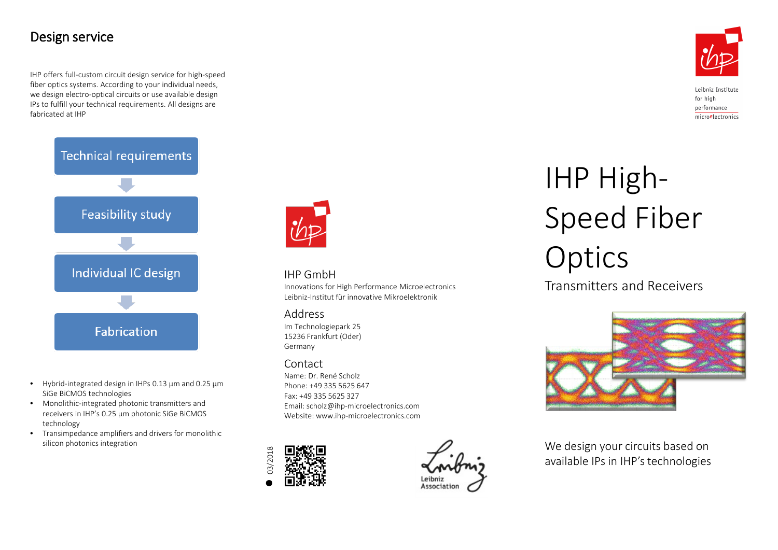# Design service

IHP offers full-custom circuit design service for high-speed fiber optics systems. According to your individual needs, we design electro-optical circuits or use available design IPs to fulfill your technical requirements. All designs are fabricated at IHP



- Hybrid-integrated design in IHPs 0.13 µm and 0.25 µm SiGe BiCMOS technologies
- Monolithic-integrated photonic transmitters and receivers in IHP's 0.25 µm photonic SiGe BiCMOS technology
- Transimpedance amplifiers and drivers for monolithic silicon photonics integration



## IHP GmbH

Innovations for High Performance Microelectronics Leibniz-Institut für innovative Mikroelektronik

## Address

Im Technologiepark 25 15236 Frankfurt (Oder) Germany

## Contact

Name: Dr. René Scholz Phone: +49 335 5625 647 Fax: +49 335 5625 327 Email: scholz@ihp-microelectronics.com Website: www.ihp-microelectronics.com





# IHP High-Speed Fiber **Optics**

Transmitters and Receivers



We design your circuits based on available IPs in IHP's technologies



Leibniz Institute for high performance microelectronics